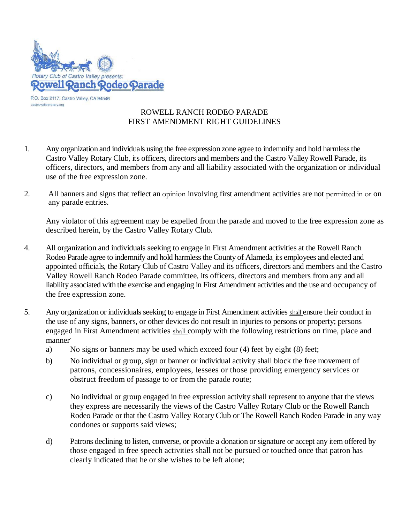

## ROWELL RANCH RODEO PARADE FIRST AMENDMENT RIGHT GUIDELINES

- 1. Any organization and individuals using the free expression zone agree to indemnify and hold harmless the Castro Valley Rotary Club, its officers, directors and members and the Castro Valley Rowell Parade, its officers, directors, and members from any and all liability associated with the organization or individual use of the free expression zone.
- 2. All banners and signs that reflect an opinion involving first amendment activities are not permitted in or on any parade entries.

Any violator of this agreement may be expelled from the parade and moved to the free expression zone as described herein, by the Castro Valley Rotary Club.

- 4. All organization and individuals seeking to engage in First Amendment activities at the Rowell Ranch Rodeo Parade agree to indemnify and hold harmless the County of Alameda, its employees and elected and appointed officials, the Rotary Club of Castro Valley and its officers, directors and members and the Castro Valley Rowell Ranch Rodeo Parade committee, its officers, directors and members from any and all liability associated with the exercise and engaging in First Amendment activities and the use and occupancy of the free expression zone.
- 5. Any organization or individuals seeking to engage in First Amendment activities shall ensure their conduct in the use of any signs, banners, or other devices do not result in injuries to persons or property; persons engaged in First Amendment activities shall comply with the following restrictions on time, place and manner.
	- a) No signs or banners may be used which exceed four (4) feet by eight (8) feet;
	- b) No individual or group, sign or banner or individual activity shall block the free movement of patrons, concessionaires, employees, lessees or those providing emergency services or obstruct freedom of passage to or from the parade route;
	- c) No individual or group engaged in free expression activity shall represent to anyone that the views they express are necessarily the views of the Castro Valley Rotary Club or the Rowell Ranch Rodeo Parade or that the Castro Valley Rotary Club or The Rowell Ranch Rodeo Parade in any way condones or supports said views;
	- d) Patrons declining to listen, converse, or provide a donation or signature or accept any item offered by those engaged in free speech activities shall not be pursued or touched once that patron has clearly indicated that he or she wishes to be left alone;